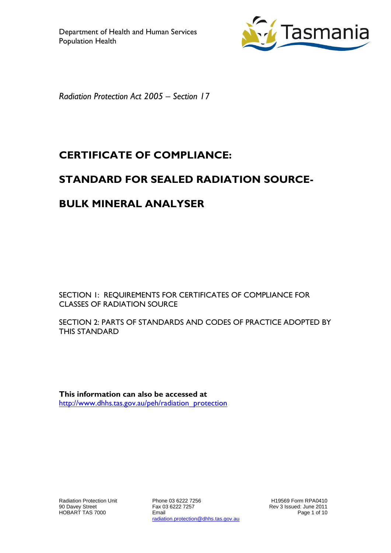

*Radiation Protection Act 2005 – Section 17*

# **CERTIFICATE OF COMPLIANCE:**

# **STANDARD FOR SEALED RADIATION SOURCE-**

### **BULK MINERAL ANALYSER**

SECTION 1: REQUIREMENTS FOR CERTIFICATES OF COMPLIANCE FOR CLASSES OF RADIATION SOURCE

SECTION 2: PARTS OF STANDARDS AND CODES OF PRACTICE ADOPTED BY THIS STANDARD

**This information can also be accessed at** [http://www.dhhs.tas.gov.au/peh/radiation\\_protection](http://www.dhhs.tas.gov.au/radiation_protection)

Phone 03 6222 7256 Fax 03 6222 7257 Email radiation.protection@dhhs.tas.gov.au

H19569 Form RPA0410 Rev 3 Issued: June 2011 Page 1 of 10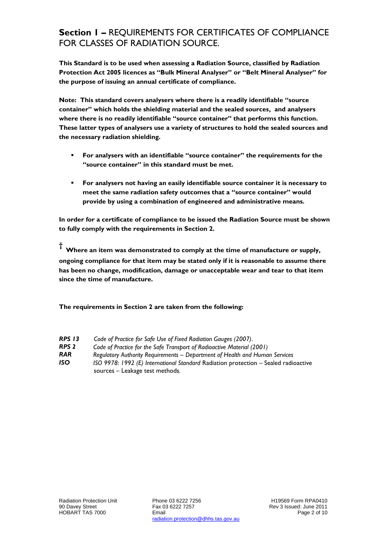### **Section 1 –** REQUIREMENTS FOR CERTIFICATES OF COMPLIANCE FOR CLASSES OF RADIATION SOURCE.

**This Standard is to be used when assessing a Radiation Source, classified by Radiation Protection Act 2005 licences as "Bulk Mineral Analyser" or "Belt Mineral Analyser" for the purpose of issuing an annual certificate of compliance.**

**Note: This standard covers analysers where there is a readily identifiable "source container" which holds the shielding material and the sealed sources, and analysers where there is no readily identifiable "source container" that performs this function. These latter types of analysers use a variety of structures to hold the sealed sources and the necessary radiation shielding.**

- **For analysers with an identifiable "source container" the requirements for the "source container" in this standard must be met.**
- **For analysers not having an easily identifiable source container it is necessary to meet the same radiation safety outcomes that a "source container" would provide by using a combination of engineered and administrative means.**

**In order for a certificate of compliance to be issued the Radiation Source must be shown to fully comply with the requirements in Section 2.**

**† Where an item was demonstrated to comply at the time of manufacture or supply,** 

**ongoing compliance for that item may be stated only if it is reasonable to assume there has been no change, modification, damage or unacceptable wear and tear to that item since the time of manufacture.** 

**The requirements in Section 2 are taken from the following:**

| RPS 13 | Code of Practice for Safe Use of Fixed Radiation Gauges (2007).      |
|--------|----------------------------------------------------------------------|
| DDC J  | Code of Practice for the Safe Transport of Padioactive Material (200 |

- *RPS 2 Code of Practice for the Safe Transport of Radioactive Material (2001) RAR Regulatory Authority Requirements – Department of Health and Human Services*
- *ISO ISO 9978: 1992 (E) International Standard* Radiation protection Sealed radioactive
- sources Leakage test methods*.*

Phone 03 6222 7256 Fax 03 6222 7257 Email radiation.protection@dhhs.tas.gov.au

H19569 Form RPA0410 Rev 3 Issued: June 2011 Page 2 of 10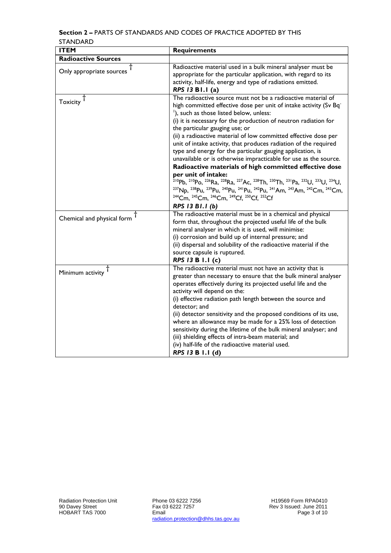#### **Section 2 –** PARTS OF STANDARDS AND CODES OF PRACTICE ADOPTED BY THIS STANDARD

| <b>ITEM</b>                | <b>Requirements</b>                                                                                                                                                                                                                                                                                                                                                                                                                                                                                                                                                                                                                                                                                                                                                                                                                                                                                                                                                                                                                                                                                                                                                                                       |
|----------------------------|-----------------------------------------------------------------------------------------------------------------------------------------------------------------------------------------------------------------------------------------------------------------------------------------------------------------------------------------------------------------------------------------------------------------------------------------------------------------------------------------------------------------------------------------------------------------------------------------------------------------------------------------------------------------------------------------------------------------------------------------------------------------------------------------------------------------------------------------------------------------------------------------------------------------------------------------------------------------------------------------------------------------------------------------------------------------------------------------------------------------------------------------------------------------------------------------------------------|
| <b>Radioactive Sources</b> |                                                                                                                                                                                                                                                                                                                                                                                                                                                                                                                                                                                                                                                                                                                                                                                                                                                                                                                                                                                                                                                                                                                                                                                                           |
| Only appropriate sources   | Radioactive material used in a bulk mineral analyser must be<br>appropriate for the particular application, with regard to its<br>activity, half-life, energy and type of radiations emitted.<br>RPS 13 B1.1 (a)                                                                                                                                                                                                                                                                                                                                                                                                                                                                                                                                                                                                                                                                                                                                                                                                                                                                                                                                                                                          |
| Toxicity <sup>T</sup>      | The radioactive source must not be a radioactive material of<br>high committed effective dose per unit of intake activity (Sv Bq <sup>-</sup><br><sup>1</sup> ), such as those listed below, unless:<br>(i) it is necessary for the production of neutron radiation for<br>the particular gauging use; or<br>(ii) a radioactive material of low committed effective dose per<br>unit of intake activity, that produces radiation of the required<br>type and energy for the particular gauging application, is<br>unavailable or is otherwise impracticable for use as the source.<br>Radioactive materials of high committed effective dose<br>per unit of intake:<br><sup>210</sup> Pb, <sup>210</sup> Po, <sup>226</sup> Ra, <sup>228</sup> Ra, <sup>227</sup> Ac, <sup>228</sup> Th, <sup>230</sup> Th, <sup>231</sup> Pa, <sup>232</sup> U, <sup>233</sup> U, <sup>234</sup> U,<br><sup>237</sup> Np, <sup>238</sup> Pu, <sup>239</sup> Pu, <sup>240</sup> Pu, <sup>241</sup> Pu, <sup>242</sup> Pu, <sup>241</sup> Am, <sup>243</sup> Am, <sup>242</sup> Cm, <sup>243</sup> Cm,<br><sup>244</sup> Cm, <sup>245</sup> Cm, <sup>246</sup> Cm, <sup>249</sup> Cf, <sup>250</sup> Cf, <sup>252</sup> Cf |
|                            | RPS 13 B1.1 (b)<br>The radioactive material must be in a chemical and physical                                                                                                                                                                                                                                                                                                                                                                                                                                                                                                                                                                                                                                                                                                                                                                                                                                                                                                                                                                                                                                                                                                                            |
| Chemical and physical form | form that, throughout the projected useful life of the bulk<br>mineral analyser in which it is used, will minimise:<br>(i) corrosion and build up of internal pressure; and<br>(ii) dispersal and solubility of the radioactive material if the<br>source capsule is ruptured.<br>RPS 13 B 1.1 (c)                                                                                                                                                                                                                                                                                                                                                                                                                                                                                                                                                                                                                                                                                                                                                                                                                                                                                                        |
| Minimum activity           | The radioactive material must not have an activity that is<br>greater than necessary to ensure that the bulk mineral analyser<br>operates effectively during its projected useful life and the<br>activity will depend on the:<br>(i) effective radiation path length between the source and<br>detector; and<br>(ii) detector sensitivity and the proposed conditions of its use,<br>where an allowance may be made for a 25% loss of detection<br>sensitivity during the lifetime of the bulk mineral analyser; and<br>(iii) shielding effects of intra-beam material; and<br>(iv) half-life of the radioactive material used.<br>RPS 13 B 1.1 (d)                                                                                                                                                                                                                                                                                                                                                                                                                                                                                                                                                      |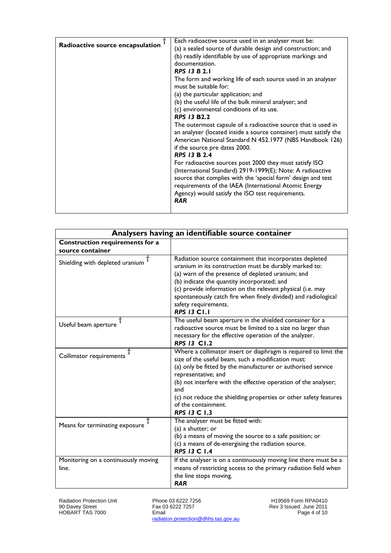| Radioactive source encapsulation | Each radioactive source used in an analyser must be:<br>(a) a sealed source of durable design and construction; and                                                                                                                                   |
|----------------------------------|-------------------------------------------------------------------------------------------------------------------------------------------------------------------------------------------------------------------------------------------------------|
|                                  | (b) readily identifiable by use of appropriate markings and                                                                                                                                                                                           |
|                                  | documentation.                                                                                                                                                                                                                                        |
|                                  | <b>RPS 13 B 2.1</b>                                                                                                                                                                                                                                   |
|                                  | The form and working life of each source used in an analyser<br>must be suitable for:                                                                                                                                                                 |
|                                  | (a) the particular application; and                                                                                                                                                                                                                   |
|                                  | (b) the useful life of the bulk mineral analyser; and                                                                                                                                                                                                 |
|                                  | (c) environmental conditions of its use.                                                                                                                                                                                                              |
|                                  | <b>RPS 13 B2.2</b>                                                                                                                                                                                                                                    |
|                                  | The outermost capsule of a radioactive source that is used in<br>an analyser (located inside a source container) must satisfy the<br>American National Standard N 452.1977 (NBS Handbook 126)<br>if the source pre dates 2000.<br><b>RPS 13 B 2.4</b> |
|                                  | For radioactive sources post 2000 they must satisfy ISO<br>(International Standard) 2919-1999(E); Note: A radioactive<br>source that complies with the 'special form' design and test<br>requirements of the IAEA (International Atomic Energy        |
|                                  | Agency) would satisfy the ISO test requirements.<br><b>RAR</b>                                                                                                                                                                                        |

| Analysers having an identifiable source container   |                                                                                                                                                                                                                                                                                                                                                                                                          |
|-----------------------------------------------------|----------------------------------------------------------------------------------------------------------------------------------------------------------------------------------------------------------------------------------------------------------------------------------------------------------------------------------------------------------------------------------------------------------|
| Construction requirements for a<br>source container |                                                                                                                                                                                                                                                                                                                                                                                                          |
| Shielding with depleted uranium                     | Radiation source containment that incorporates depleted<br>uranium in its construction must be durably marked to:<br>(a) warn of the presence of depleted uranium; and<br>(b) indicate the quantity incorporated; and<br>(c) provide information on the relevant physical (i.e. may<br>spontaneously catch fire when finely divided) and radiological<br>safety requirements.<br><b>RPS 13 C1.1</b>      |
| Useful beam aperture                                | The useful beam aperture in the shielded container for a<br>radioactive source must be limited to a size no larger than<br>necessary for the effective operation of the analyzer.<br><b>RPS 13 C1.2</b>                                                                                                                                                                                                  |
| Collimator requirements                             | Where a collimator insert or diaphragm is required to limit the<br>size of the useful beam, such a modification must:<br>(a) only be fitted by the manufacturer or authorised service<br>representative; and<br>(b) not interfere with the effective operation of the analyser;<br>and<br>(c) not reduce the shielding properties or other safety features<br>of the containment.<br><b>RPS 13 C 1.3</b> |
| Means for terminating exposure                      | The analyser must be fitted with:<br>(a) a shutter; or<br>(b) a means of moving the source to a safe position; or<br>(c) a means of de-energising the radiation source.<br><b>RPS 13 C 1.4</b>                                                                                                                                                                                                           |
| Monitoring on a continuously moving<br>line.        | If the analyser is on a continuously moving line there must be a<br>means of restricting access to the primary radiation field when<br>the line stops moving.<br><b>RAR</b>                                                                                                                                                                                                                              |

Phone 03 6222 7256 Fax 03 6222 7257 Email radiation.protection@dhhs.tas.gov.au

H19569 Form RPA0410 Rev 3 Issued: June 2011 Page 4 of 10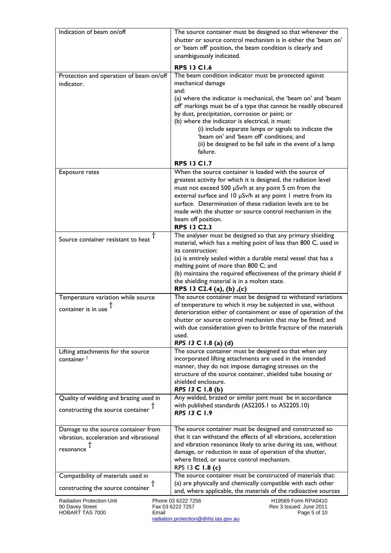| Indication of beam on/off                                                                   | The source container must be designed so that whenever the<br>shutter or source control mechanism is in either the 'beam on'<br>or 'beam off' position, the beam condition is clearly and<br>unambiguously indicated.                                                                                                                                                                                                                                                                                    |
|---------------------------------------------------------------------------------------------|----------------------------------------------------------------------------------------------------------------------------------------------------------------------------------------------------------------------------------------------------------------------------------------------------------------------------------------------------------------------------------------------------------------------------------------------------------------------------------------------------------|
|                                                                                             | <b>RPS 13 C1.6</b>                                                                                                                                                                                                                                                                                                                                                                                                                                                                                       |
| Protection and operation of beam on/off<br>indicator.                                       | The beam condition indicator must be protected against<br>mechanical damage<br>and:<br>(a) where the indicator is mechanical, the 'beam on' and 'beam<br>off markings must be of a type that cannot be readily obscured<br>by dust, precipitation, corrosion or paint; or<br>(b) where the indicator is electrical, it must:<br>(i) include separate lamps or signals to indicate the<br>'beam on' and 'beam off' conditions; and<br>(ii) be designed to be fail safe in the event of a lamp<br>failure. |
|                                                                                             | <b>RPS 13 C1.7</b>                                                                                                                                                                                                                                                                                                                                                                                                                                                                                       |
| <b>Exposure rates</b>                                                                       | When the source container is loaded with the source of<br>greatest activity for which it is designed, the radiation level<br>must not exceed 500 µSv/h at any point 5 cm from the<br>external surface and 10 µSv/h at any point 1 metre from its<br>surface. Determination of these radiation levels are to be<br>made with the shutter or source control mechanism in the<br>beam off position.<br><b>RPS 13 C2.3</b>                                                                                   |
| Source container resistant to heat                                                          | The analyser must be designed so that any primary shielding<br>material, which has a melting point of less than 800 C, used in<br>its construction:<br>(a) is entirely sealed within a durable metal vessel that has a<br>melting point of more than 800 C; and<br>(b) maintains the required effectiveness of the primary shield if<br>the shielding material is in a molten state.<br>RPS 13 C2.4 (a), (b), (c)                                                                                        |
| Temperature variation while source<br>container is in use                                   | The source container must be designed to withstand variations<br>of temperature to which it may be subjected in use, without<br>deterioration either of containment or ease of operation of the<br>shutter or source control mechanism that may be fitted; and<br>with due consideration given to brittle fracture of the materials<br>used.<br>RPS 13 C 1.8 (a) (d)                                                                                                                                     |
| Lifting attachments for the source<br>container <sup>†</sup>                                | The source container must be designed so that when any<br>incorporated lifting attachments are used in the intended<br>manner, they do not impose damaging stresses on the<br>structure of the source container, shielded tube housing or<br>shielded enclosure.<br>RPS 13 C 1.8 (b)                                                                                                                                                                                                                     |
| Quality of welding and brazing used in<br>constructing the source container                 | Any welded, brazed or similar joint must be in accordance<br>with published standards (AS2205.1 to AS2205.10)<br>RPS 13 C 1.9                                                                                                                                                                                                                                                                                                                                                                            |
| Damage to the source container from<br>vibration, acceleration and vibrational<br>resonance | The source container must be designed and constructed so<br>that it can withstand the effects of all vibrations, acceleration<br>and vibration resonance likely to arise during its use, without<br>damage, or reduction in ease of operation of the shutter,<br>where fitted, or source control mechanism.<br>RPS 13 C 1.8 (c)                                                                                                                                                                          |
| Compatibility of materials used in                                                          | The source container must be constructed of materials that:                                                                                                                                                                                                                                                                                                                                                                                                                                              |
| constructing the source container $T$                                                       | (a) are physically and chemically compatible with each other<br>and, where applicable, the materials of the radioactive sources                                                                                                                                                                                                                                                                                                                                                                          |
| <b>Radiation Protection Unit</b><br>90 Davey Street<br>HOBART TAS 7000<br>Email             | Phone 03 6222 7256<br>H19569 Form RPA0410<br>Fax 03 6222 7257<br>Rev 3 Issued: June 2011<br>Page 5 of 10                                                                                                                                                                                                                                                                                                                                                                                                 |

radiation.protection@dhhs.tas.gov.au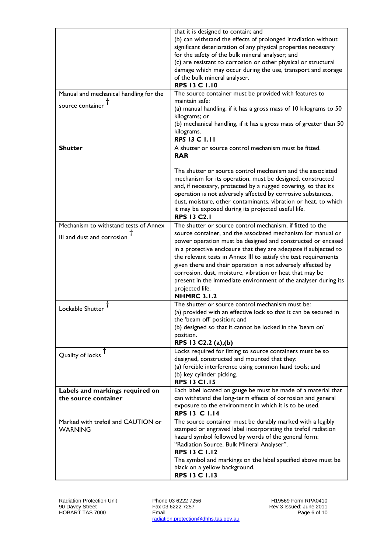| Manual and mechanical handling for the                              | that it is designed to contain; and<br>(b) can withstand the effects of prolonged irradiation without<br>significant deterioration of any physical properties necessary<br>for the safety of the bulk mineral analyser; and<br>(c) are resistant to corrosion or other physical or structural<br>damage which may occur during the use, transport and storage<br>of the bulk mineral analyser.<br><b>RPS 13 C 1.10</b><br>The source container must be provided with features to                                                                                         |
|---------------------------------------------------------------------|--------------------------------------------------------------------------------------------------------------------------------------------------------------------------------------------------------------------------------------------------------------------------------------------------------------------------------------------------------------------------------------------------------------------------------------------------------------------------------------------------------------------------------------------------------------------------|
| source container                                                    | maintain safe:<br>(a) manual handling, if it has a gross mass of 10 kilograms to 50<br>kilograms; or<br>(b) mechanical handling, if it has a gross mass of greater than 50<br>kilograms.<br><b>RPS 13 C 1.11</b>                                                                                                                                                                                                                                                                                                                                                         |
| <b>Shutter</b>                                                      | A shutter or source control mechanism must be fitted.<br><b>RAR</b>                                                                                                                                                                                                                                                                                                                                                                                                                                                                                                      |
|                                                                     | The shutter or source control mechanism and the associated<br>mechanism for its operation, must be designed, constructed<br>and, if necessary, protected by a rugged covering, so that its<br>operation is not adversely affected by corrosive substances,<br>dust, moisture, other contaminants, vibration or heat, to which<br>it may be exposed during its projected useful life.<br><b>RPS 13 C2.1</b>                                                                                                                                                               |
| Mechanism to withstand tests of Annex<br>III and dust and corrosion | The shutter or source control mechanism, if fitted to the<br>source container, and the associated mechanism for manual or<br>power operation must be designed and constructed or encased<br>in a protective enclosure that they are adequate if subjected to<br>the relevant tests in Annex III to satisfy the test requirements<br>given there and their operation is not adversely affected by<br>corrosion, dust, moisture, vibration or heat that may be<br>present in the immediate environment of the analyser during its<br>projected life.<br><b>NHMRC 3.1.2</b> |
| Lockable Shutter                                                    | The shutter or source control mechanism must be:<br>(a) provided with an effective lock so that it can be secured in<br>the 'beam off' position; and<br>(b) designed so that it cannot be locked in the 'beam on'<br>position.<br>RPS 13 C2.2 (a), (b)                                                                                                                                                                                                                                                                                                                   |
| Quality of locks                                                    | Locks required for fitting to source containers must be so<br>designed, constructed and mounted that they:<br>(a) forcible interference using common hand tools; and<br>(b) key cylinder picking.<br><b>RPS 13 C1.15</b>                                                                                                                                                                                                                                                                                                                                                 |
| Labels and markings required on<br>the source container             | Each label located on gauge be must be made of a material that<br>can withstand the long-term effects of corrosion and general<br>exposure to the environment in which it is to be used.<br><b>RPS 13 C 1.14</b>                                                                                                                                                                                                                                                                                                                                                         |
| Marked with trefoil and CAUTION or<br><b>WARNING</b>                | The source container must be durably marked with a legibly<br>stamped or engraved label incorporating the trefoil radiation<br>hazard symbol followed by words of the general form:<br>"Radiation Source, Bulk Mineral Analyser".<br><b>RPS 13 C 1.12</b><br>The symbol and markings on the label specified above must be<br>black on a yellow background.<br><b>RPS 13 C 1.13</b>                                                                                                                                                                                       |

Phone 03 6222 7256 Fax 03 6222 7257 Email radiation.protection@dhhs.tas.gov.au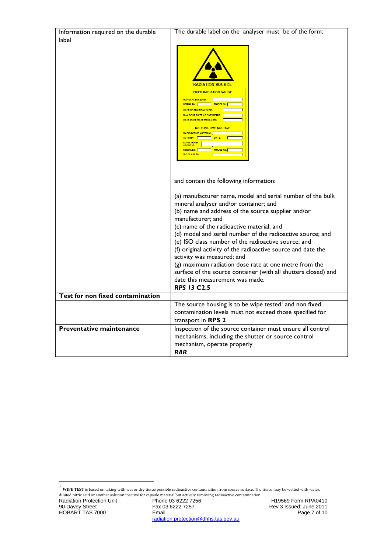| Information required on the durable | The durable label on the analyser must be of the form:                                                                                                                                                                                                                                                                                                                                                                                                                                                                                                                                                                              |
|-------------------------------------|-------------------------------------------------------------------------------------------------------------------------------------------------------------------------------------------------------------------------------------------------------------------------------------------------------------------------------------------------------------------------------------------------------------------------------------------------------------------------------------------------------------------------------------------------------------------------------------------------------------------------------------|
| label                               |                                                                                                                                                                                                                                                                                                                                                                                                                                                                                                                                                                                                                                     |
|                                     | RADIATION SOURCE<br><b>FIXED RADIATION GAUGE</b><br>MANUFACTURED BY THE<br>SERIAL No.   MODEL No.  <br>DATE OF MANUFACTURE:<br><b>MAX DOSE RATE AT ONE METRE</b><br>DATE DOSE RATE MEASURED F<br><b>RADIOACTIVE SOURCE</b><br><b>RADIOACTIVE MATERIAL</b><br>ACTIVITY  <br>DATE<br>SUPPLIED BY<br>SERIAL No.<br>MODEL No.<br><b>ISO CLASS No.</b>                                                                                                                                                                                                                                                                                   |
|                                     | and contain the following information:                                                                                                                                                                                                                                                                                                                                                                                                                                                                                                                                                                                              |
| Test for non fixed contamination    | (a) manufacturer name, model and serial number of the bulk<br>mineral analyser and/or container; and<br>(b) name and address of the source supplier and/or<br>manufacturer; and<br>(c) name of the radioactive material; and<br>(d) model and serial number of the radioactive source; and<br>(e) ISO class number of the radioactive source; and<br>(f) original activity of the radioactive source and date the<br>activity was measured; and<br>(g) maximum radiation dose rate at one metre from the<br>surface of the source container (with all shutters closed) and<br>date this measurement was made.<br><b>RPS 13 C2.5</b> |
|                                     |                                                                                                                                                                                                                                                                                                                                                                                                                                                                                                                                                                                                                                     |
|                                     | The source housing is to be wipe tested and non fixed<br>contamination levels must not exceed those specified for<br>transport in <b>RPS 2</b>                                                                                                                                                                                                                                                                                                                                                                                                                                                                                      |
| Preventative maintenance            | Inspection of the source container must ensure all control<br>mechanisms, including the shutter or source control<br>mechanism, operate properly<br>RAR                                                                                                                                                                                                                                                                                                                                                                                                                                                                             |

<sup>&</sup>lt;sup>1</sup> WIPE TEST is based on taking with wet or dry tissue possible radioactive contamination from source surface. The tissue may be wetted with water,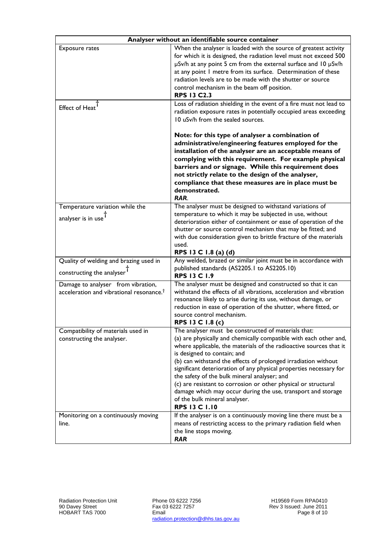| Analyser without an identifiable source container                                          |                                                                                                                                                                                                                                                                                                                                                                                                                                                                                                                                                                                                                  |
|--------------------------------------------------------------------------------------------|------------------------------------------------------------------------------------------------------------------------------------------------------------------------------------------------------------------------------------------------------------------------------------------------------------------------------------------------------------------------------------------------------------------------------------------------------------------------------------------------------------------------------------------------------------------------------------------------------------------|
| Exposure rates                                                                             | When the analyser is loaded with the source of greatest activity<br>for which it is designed, the radiation level must not exceed 500<br>µSv/h at any point 5 cm from the external surface and 10 µSv/h<br>at any point I metre from its surface. Determination of these<br>radiation levels are to be made with the shutter or source<br>control mechanism in the beam off position.<br><b>RPS 13 C2.3</b>                                                                                                                                                                                                      |
| Effect of Heat                                                                             | Loss of radiation shielding in the event of a fire must not lead to<br>radiation exposure rates in potentially occupied areas exceeding<br>10 uSv/h from the sealed sources.<br>Note: for this type of analyser a combination of<br>administrative/engineering features employed for the<br>installation of the analyser are an acceptable means of<br>complying with this requirement. For example physical<br>barriers and or signage. While this requirement does<br>not strictly relate to the design of the analyser,<br>compliance that these measures are in place must be<br>demonstrated.               |
|                                                                                            | RAR.                                                                                                                                                                                                                                                                                                                                                                                                                                                                                                                                                                                                             |
| Temperature variation while the<br>analyser is in use <sup>1</sup>                         | The analyser must be designed to withstand variations of<br>temperature to which it may be subjected in use, without<br>deterioration either of containment or ease of operation of the<br>shutter or source control mechanism that may be fitted; and<br>with due consideration given to brittle fracture of the materials<br>used.<br>RPS 13 C 1.8 (a) (d)                                                                                                                                                                                                                                                     |
| Quality of welding and brazing used in<br>constructing the analyser <sup>T</sup>           | Any welded, brazed or similar joint must be in accordance with<br>published standards (AS2205.1 to AS2205.10)<br><b>RPS 13 C 1.9</b>                                                                                                                                                                                                                                                                                                                                                                                                                                                                             |
| Damage to analyser from vibration,<br>acceleration and vibrational resonance. <sup>†</sup> | The analyser must be designed and constructed so that it can<br>withstand the effects of all vibrations, acceleration and vibration<br>resonance likely to arise during its use, without damage, or<br>reduction in ease of operation of the shutter, where fitted, or<br>source control mechanism.<br>RPS 13 C 1.8 (c)                                                                                                                                                                                                                                                                                          |
| Compatibility of materials used in<br>constructing the analyser.                           | The analyser must be constructed of materials that:<br>(a) are physically and chemically compatible with each other and,<br>where applicable, the materials of the radioactive sources that it<br>is designed to contain; and<br>(b) can withstand the effects of prolonged irradiation without<br>significant deterioration of any physical properties necessary for<br>the safety of the bulk mineral analyser; and<br>(c) are resistant to corrosion or other physical or structural<br>damage which may occur during the use, transport and storage<br>of the bulk mineral analyser.<br><b>RPS 13 C 1.10</b> |
| Monitoring on a continuously moving<br>line.                                               | If the analyser is on a continuously moving line there must be a<br>means of restricting access to the primary radiation field when<br>the line stops moving.<br><b>RAR</b>                                                                                                                                                                                                                                                                                                                                                                                                                                      |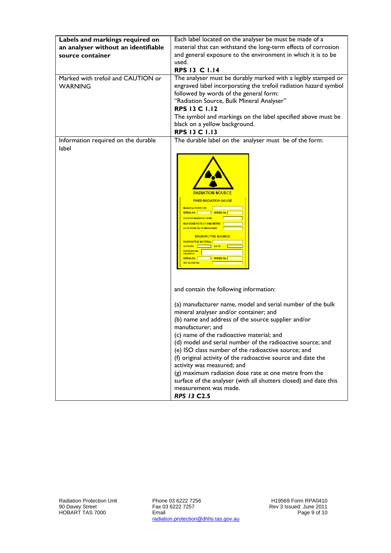| Labels and markings required on     | Each label located on the analyser be must be made of a                                                                                                                                                                                                                                                                                                                                                                                        |
|-------------------------------------|------------------------------------------------------------------------------------------------------------------------------------------------------------------------------------------------------------------------------------------------------------------------------------------------------------------------------------------------------------------------------------------------------------------------------------------------|
| an analyser without an identifiable | material that can withstand the long-term effects of corrosion                                                                                                                                                                                                                                                                                                                                                                                 |
| source container                    | and general exposure to the environment in which it is to be                                                                                                                                                                                                                                                                                                                                                                                   |
|                                     | used.                                                                                                                                                                                                                                                                                                                                                                                                                                          |
|                                     | <b>RPS 13 C 1.14</b>                                                                                                                                                                                                                                                                                                                                                                                                                           |
| Marked with trefoil and CAUTION or  | The analyser must be durably marked with a legibly stamped or                                                                                                                                                                                                                                                                                                                                                                                  |
| <b>WARNING</b>                      | engraved label incorporating the trefoil radiation hazard symbol                                                                                                                                                                                                                                                                                                                                                                               |
|                                     | followed by words of the general form:                                                                                                                                                                                                                                                                                                                                                                                                         |
|                                     | "Radiation Source, Bulk Mineral Analyser"                                                                                                                                                                                                                                                                                                                                                                                                      |
|                                     | <b>RPS 13 C 1.12</b>                                                                                                                                                                                                                                                                                                                                                                                                                           |
|                                     | The symbol and markings on the label specified above must be                                                                                                                                                                                                                                                                                                                                                                                   |
|                                     | black on a yellow background.                                                                                                                                                                                                                                                                                                                                                                                                                  |
|                                     | <b>RPS 13 C 1.13</b>                                                                                                                                                                                                                                                                                                                                                                                                                           |
| Information required on the durable | The durable label on the analyser must be of the form:                                                                                                                                                                                                                                                                                                                                                                                         |
| label                               |                                                                                                                                                                                                                                                                                                                                                                                                                                                |
|                                     | <b>RADIATION SOURCE</b><br><b>FIXED RADIATION GAUGE</b><br><b>MANUFACTURED BY</b><br>SERIAL No. The MODEL No. T<br><b>DATE OF MANUFACTURE:</b><br><b>MAX DOSE RATE AT ONE METRE</b><br>DATE DOSE RATE MEASURED<br><b>RADIOACTIVE SOURCE</b><br>RADIOACTIVE MATERIAL<br>ACTIVITY  <br><b>DATE</b><br><b>SUPPLIED BY</b><br><b>ADDRESS</b><br>SERIAL No. T<br><b>MODEL No.</b><br><b>ISO CLASS No.</b><br>and contain the following information: |
|                                     | (a) manufacturer name, model and serial number of the bulk<br>mineral analyser and/or container; and<br>(b) name and address of the source supplier and/or                                                                                                                                                                                                                                                                                     |
|                                     | manufacturer; and                                                                                                                                                                                                                                                                                                                                                                                                                              |
|                                     | (c) name of the radioactive material; and                                                                                                                                                                                                                                                                                                                                                                                                      |
|                                     | (d) model and serial number of the radioactive source; and                                                                                                                                                                                                                                                                                                                                                                                     |
|                                     | (e) ISO class number of the radioactive source; and                                                                                                                                                                                                                                                                                                                                                                                            |
|                                     | (f) original activity of the radioactive source and date the                                                                                                                                                                                                                                                                                                                                                                                   |
|                                     | activity was measured; and                                                                                                                                                                                                                                                                                                                                                                                                                     |
|                                     | (g) maximum radiation dose rate at one metre from the                                                                                                                                                                                                                                                                                                                                                                                          |
|                                     | surface of the analyser (with all shutters closed) and date this                                                                                                                                                                                                                                                                                                                                                                               |
|                                     | measurement was made.                                                                                                                                                                                                                                                                                                                                                                                                                          |
|                                     | <b>RPS 13 C2.5</b>                                                                                                                                                                                                                                                                                                                                                                                                                             |